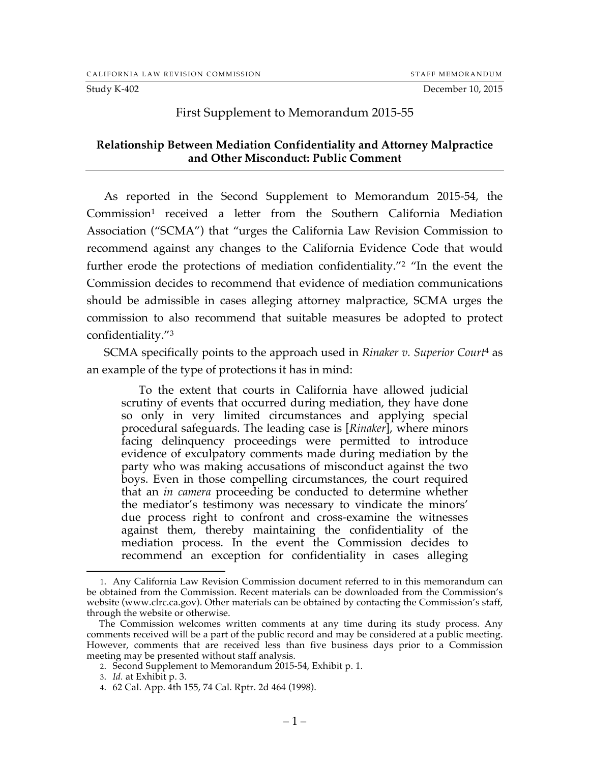Study K-402 December 10, 2015

## First Supplement to Memorandum 2015-55

## **Relationship Between Mediation Confidentiality and Attorney Malpractice and Other Misconduct: Public Comment**

As reported in the Second Supplement to Memorandum 2015-54, the Commission<sup>1</sup> received a letter from the Southern California Mediation Association ("SCMA") that "urges the California Law Revision Commission to recommend against any changes to the California Evidence Code that would further erode the protections of mediation confidentiality."2 "In the event the Commission decides to recommend that evidence of mediation communications should be admissible in cases alleging attorney malpractice, SCMA urges the commission to also recommend that suitable measures be adopted to protect confidentiality."3

SCMA specifically points to the approach used in *Rinaker v. Superior Court*<sup>4</sup> as an example of the type of protections it has in mind:

To the extent that courts in California have allowed judicial scrutiny of events that occurred during mediation, they have done so only in very limited circumstances and applying special procedural safeguards. The leading case is [*Rinaker*], where minors facing delinquency proceedings were permitted to introduce evidence of exculpatory comments made during mediation by the party who was making accusations of misconduct against the two boys. Even in those compelling circumstances, the court required that an *in camera* proceeding be conducted to determine whether the mediator's testimony was necessary to vindicate the minors' due process right to confront and cross-examine the witnesses against them, thereby maintaining the confidentiality of the mediation process. In the event the Commission decides to recommend an exception for confidentiality in cases alleging

 <sup>1.</sup> Any California Law Revision Commission document referred to in this memorandum can be obtained from the Commission. Recent materials can be downloaded from the Commission's website (www.clrc.ca.gov). Other materials can be obtained by contacting the Commission's staff, through the website or otherwise.

The Commission welcomes written comments at any time during its study process. Any comments received will be a part of the public record and may be considered at a public meeting. However, comments that are received less than five business days prior to a Commission meeting may be presented without staff analysis.

<sup>2.</sup> Second Supplement to Memorandum 2015-54, Exhibit p. 1.

<sup>3.</sup> *Id.* at Exhibit p. 3.

<sup>4.</sup> 62 Cal. App. 4th 155, 74 Cal. Rptr. 2d 464 (1998).